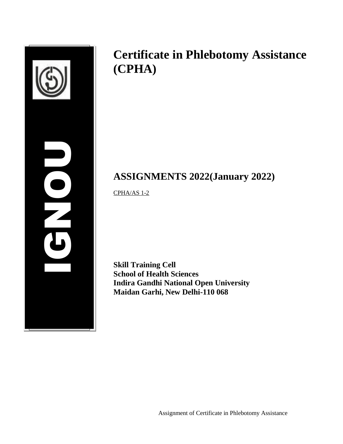| ┚ |  |
|---|--|

# **Certificate in Phlebotomy Assistance (CPHA)**

# **ASSIGNMENTS 2022(January 2022)**

CPHA/AS 1-2

**Skill Training Cell School of Health Sciences Indira Gandhi National Open University Maidan Garhi, New Delhi-110 068**

Assignment of Certificate in Phlebotomy Assistance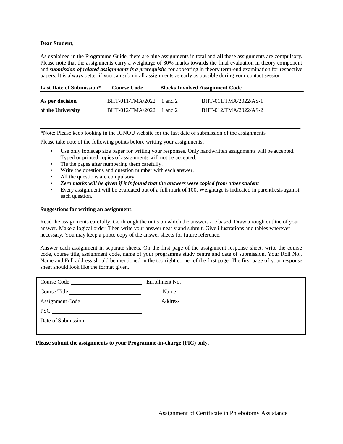#### **Dear Student**,

As explained in the Programme Guide, there are nine assignments in total and **all** these assignments are compulsory. Please note that the assignments carry a weightage of 30% marks towards the final evaluation in theory component and *submission of related assignments is a prerequisite* for appearing in theory term-end examination for respective papers. It is always better if you can submit all assignments as early as possible during your contact session.

| <b>Last Date of Submission*</b> | <b>Course Code</b>         | <b>Blocks Involved Assignment Code</b> |                       |
|---------------------------------|----------------------------|----------------------------------------|-----------------------|
| As per decision                 | $BHT-011/TMA/2022$ 1 and 2 |                                        | BHT-011/TMA/2022/AS-1 |
| of the University               | $BHT-012/TMA/2022$ 1 and 2 |                                        | BHT-012/TMA/2022/AS-2 |

\*Note: Please keep looking in the IGNOU website for the last date of submission of the assignments

Please take note of the following points before writing your assignments:

- Use only foolscap size paper for writing your responses. Only handwritten assignments will be accepted. Typed or printed copies of assignments will not be accepted.
- Tie the pages after numbering them carefully.
- Write the questions and question number with each answer.
- All the questions are compulsory.
- *Zero marks will be given if it is found that the answers were copied from other student*
- Every assignment will be evaluated out of a full mark of 100. Weightage is indicated in parenthesis against each question.

#### **Suggestions for writing an assignment:**

Read the assignments carefully. Go through the units on which the answers are based. Draw a rough outline of your answer. Make a logical order. Then write your answer neatly and submit. Give illustrations and tables wherever necessary. You may keep a photo copy of the answer sheets for future reference.

Answer each assignment in separate sheets. On the first page of the assignment response sheet, write the course code, course title, assignment code, name of your programme study centre and date of submission. Your Roll No., Name and Full address should be mentioned in the top right corner of the first page. The first page of your response sheet should look like the format given.

|                 | Enrollment No.                                                                                                                |
|-----------------|-------------------------------------------------------------------------------------------------------------------------------|
| Course Title    | Name<br><u> 1989 - Andrea State Barbara, amerikan personal di sebagai personal di sebagai personal di sebagai personal di</u> |
| Assignment Code |                                                                                                                               |
| <b>PSC</b>      |                                                                                                                               |
|                 |                                                                                                                               |
|                 |                                                                                                                               |

**Please submit the assignments to your Programme-in-charge (PIC) only.**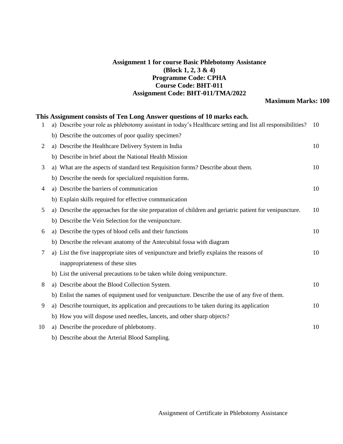### **Assignment 1 for course Basic Phlebotomy Assistance (Block 1, 2, 3 & 4) Programme Code: CPHA Course Code: BHT-011 Assignment Code: BHT-011/TMA/2022**

## **Maximum Marks: 100**

|    | This Assignment consists of Ten Long Answer questions of 10 marks each.                                    |    |
|----|------------------------------------------------------------------------------------------------------------|----|
| 1  | a) Describe your role as phlebotomy assistant in today's Healthcare setting and list all responsibilities? | 10 |
|    | b) Describe the outcomes of poor quality specimen?                                                         |    |
| 2  | a) Describe the Healthcare Delivery System in India                                                        | 10 |
|    | b) Describe in brief about the National Health Mission                                                     |    |
| 3  | a) What are the aspects of standard test Requisition forms? Describe about them.                           | 10 |
|    | b) Describe the needs for specialized requisition forms.                                                   |    |
| 4  | a) Describe the barriers of communication                                                                  | 10 |
|    | b) Explain skills required for effective communication                                                     |    |
| 5  | a) Describe the approaches for the site preparation of children and geriatric patient for venipuncture.    | 10 |
|    | b) Describe the Vein Selection for the venipuncture.                                                       |    |
| 6  | a) Describe the types of blood cells and their functions                                                   | 10 |
|    | b) Describe the relevant anatomy of the Antecubital fossa with diagram                                     |    |
| 7  | a) List the five inappropriate sites of venipuncture and briefly explains the reasons of                   | 10 |
|    | inappropriateness of these sites                                                                           |    |
|    | b) List the universal precautions to be taken while doing venipuncture.                                    |    |
| 8  | a) Describe about the Blood Collection System.                                                             | 10 |
|    | b) Enlist the names of equipment used for venipuncture. Describe the use of any five of them.              |    |
| 9  | a) Describe tourniquet, its application and precautions to be taken during its application                 | 10 |
|    | b) How you will dispose used needles, lancets, and other sharp objects?                                    |    |
| 10 | a) Describe the procedure of phlebotomy.                                                                   | 10 |
|    | b) Describe about the Arterial Blood Sampling.                                                             |    |